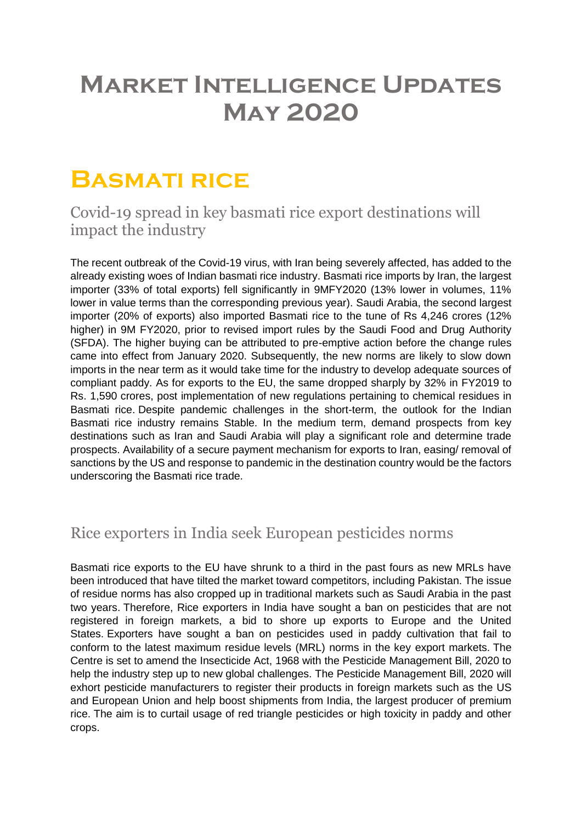# **Market Intelligence Updates May 2020**

# **Basmati rice**

Covid-19 spread in key basmati rice export destinations will impact the industry

The recent outbreak of the Covid-19 virus, with Iran being severely affected, has added to the already existing woes of Indian basmati rice industry. Basmati rice imports by Iran, the largest importer (33% of total exports) fell significantly in 9MFY2020 (13% lower in volumes, 11% lower in value terms than the corresponding previous year). Saudi Arabia, the second largest importer (20% of exports) also imported Basmati rice to the tune of Rs 4,246 crores (12% higher) in 9M FY2020, prior to revised import rules by the Saudi Food and Drug Authority (SFDA). The higher buying can be attributed to pre-emptive action before the change rules came into effect from January 2020. Subsequently, the new norms are likely to slow down imports in the near term as it would take time for the industry to develop adequate sources of compliant paddy. As for exports to the EU, the same dropped sharply by 32% in FY2019 to Rs. 1,590 crores, post implementation of new regulations pertaining to chemical residues in Basmati rice. Despite pandemic challenges in the short-term, the outlook for the Indian Basmati rice industry remains Stable. In the medium term, demand prospects from key destinations such as Iran and Saudi Arabia will play a significant role and determine trade prospects. Availability of a secure payment mechanism for exports to Iran, easing/ removal of sanctions by the US and response to pandemic in the destination country would be the factors underscoring the Basmati rice trade.

# Rice exporters in India seek European pesticides norms

Basmati rice exports to the EU have shrunk to a third in the past fours as new MRLs have been introduced that have tilted the market toward competitors, including Pakistan. The issue of residue norms has also cropped up in traditional markets such as Saudi Arabia in the past two years. Therefore, Rice exporters in India have sought a ban on pesticides that are not registered in foreign markets, a bid to shore up exports to Europe and the United States. Exporters have sought a ban on pesticides used in paddy cultivation that fail to conform to the latest maximum residue levels (MRL) norms in the key export markets. The Centre is set to amend the Insecticide Act, 1968 with the Pesticide Management Bill, 2020 to help the industry step up to new global challenges. The Pesticide Management Bill, 2020 will exhort pesticide manufacturers to register their products in foreign markets such as the US and European Union and help boost shipments from India, the largest producer of premium rice. The aim is to curtail usage of red triangle pesticides or high toxicity in paddy and other crops.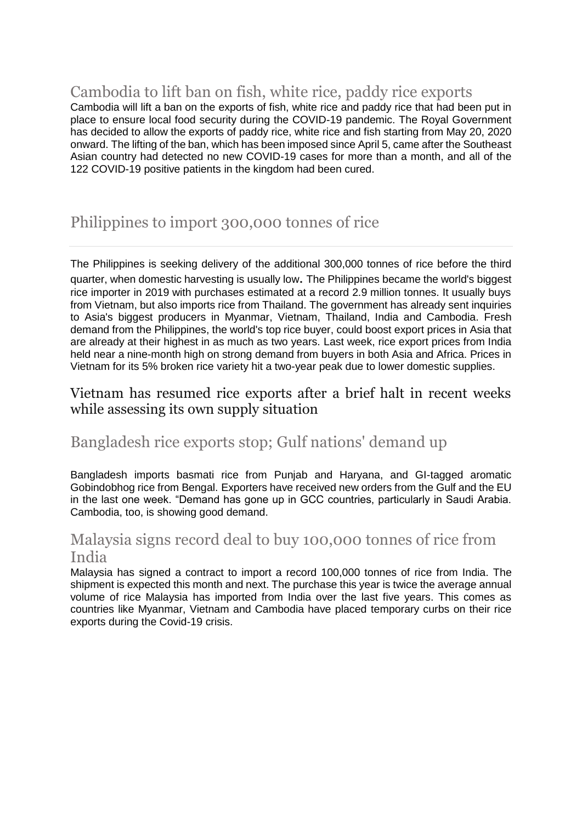### Cambodia to lift ban on fish, white rice, paddy rice exports

Cambodia will lift a ban on the exports of fish, white rice and paddy rice that had been put in place to ensure local food security during the COVID-19 pandemic. The Royal Government has decided to allow the exports of paddy rice, white rice and fish starting from May 20, 2020 onward. The lifting of the ban, which has been imposed since April 5, came after the Southeast Asian country had detected no new COVID-19 cases for more than a month, and all of the 122 COVID-19 positive patients in the kingdom had been cured.

# Philippines to import 300,000 tonnes of rice

The Philippines is seeking delivery of the additional 300,000 tonnes of rice before the third quarter, when domestic harvesting is usually low. The Philippines became the world's biggest rice importer in 2019 with purchases estimated at a record 2.9 million tonnes. It usually buys from Vietnam, but also imports rice from Thailand. The government has already sent inquiries to Asia's biggest producers in Myanmar, Vietnam, Thailand, India and Cambodia. Fresh demand from the Philippines, the world's top rice buyer, could boost export prices in Asia that are already at their highest in as much as two years. Last week, rice export prices from India held near a nine-month high on strong demand from buyers in both Asia and Africa. Prices in Vietnam for its 5% broken rice variety hit a two-year peak due to lower domestic supplies.

Vietnam has resumed rice exports after a brief halt in recent weeks while assessing its own supply situation

### Bangladesh rice exports stop; Gulf nations' demand up

Bangladesh imports basmati rice from Punjab and Haryana, and GI-tagged aromatic Gobindobhog rice from Bengal. Exporters have received new orders from the Gulf and the EU in the last one week. "Demand has gone up in GCC countries, particularly in Saudi Arabia. Cambodia, too, is showing good demand.

# Malaysia signs record deal to buy 100,000 tonnes of rice from India

Malaysia has signed a contract to import a record 100,000 tonnes of rice from India. The shipment is expected this month and next. The purchase this year is twice the average annual volume of rice Malaysia has imported from India over the last five years. This comes as countries like Myanmar, Vietnam and Cambodia have placed temporary curbs on their rice exports during the Covid-19 crisis.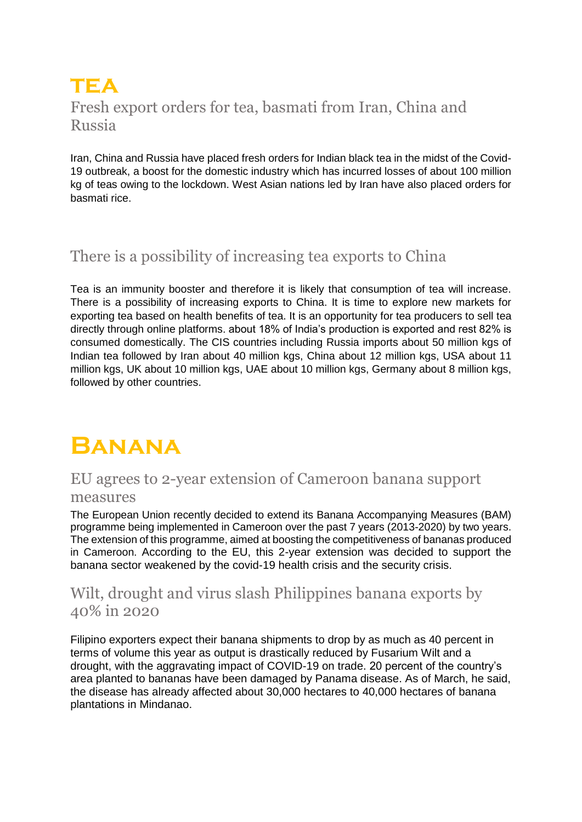# **tea** Fresh export orders for tea, basmati from Iran, China and Russia

Iran, China and Russia have placed fresh orders for Indian black tea in the midst of the Covid-19 outbreak, a boost for the domestic industry which has incurred losses of about 100 million kg of teas owing to the lockdown. West Asian nations led by Iran have also placed orders for basmati rice.

# There is a possibility of increasing tea exports to China

Tea is an immunity booster and therefore it is likely that consumption of tea will increase. There is a possibility of increasing exports to China. It is time to explore new markets for exporting tea based on health benefits of tea. It is an opportunity for tea producers to sell tea directly through online platforms. about 18% of India's production is exported and rest 82% is consumed domestically. The CIS countries including Russia imports about 50 million kgs of Indian tea followed by Iran about 40 million kgs, China about 12 million kgs, USA about 11 million kgs, UK about 10 million kgs, UAE about 10 million kgs, Germany about 8 million kgs, followed by other countries.

# **Banana**

### EU agrees to 2-year extension of Cameroon banana support measures

The European Union recently decided to extend its Banana Accompanying Measures (BAM) programme being implemented in Cameroon over the past 7 years (2013-2020) by two years. The extension of this programme, aimed at boosting the competitiveness of bananas produced in Cameroon. According to the EU, this 2-year extension was decided to support the banana sector weakened by the covid-19 health crisis and the security crisis.

### Wilt, drought and virus slash Philippines banana exports by 40% in 2020

Filipino exporters expect their banana shipments to drop by as much as 40 percent in terms of volume this year as output is drastically reduced by Fusarium Wilt and a drought, with the aggravating impact of COVID-19 on trade. 20 percent of the country's area planted to bananas have been damaged by Panama disease. As of March, he said, the disease has already affected about 30,000 hectares to 40,000 hectares of banana plantations in Mindanao.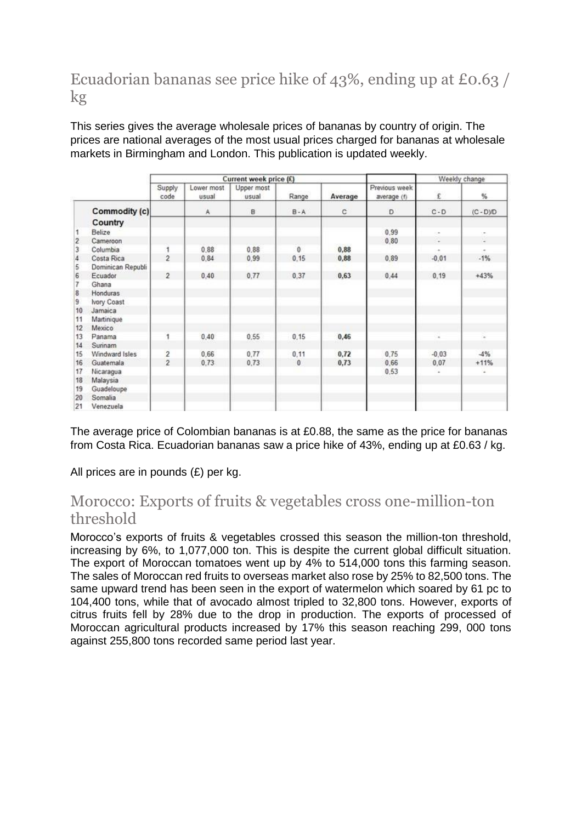# Ecuadorian bananas see price hike of 43%, ending up at £0.63 / kg

This series gives the average wholesale prices of bananas by country of origin. The prices are national averages of the most usual prices charged for bananas at wholesale markets in Birmingham and London. This publication is updated weekly.

|                         |                   | Current week price (£) |                     |                     |              |         |                              | Weekly change |             |
|-------------------------|-------------------|------------------------|---------------------|---------------------|--------------|---------|------------------------------|---------------|-------------|
|                         |                   | Supply<br>code         | Lower most<br>usual | Upper most<br>usual | Range        | Average | Previous week<br>average (f) | £             | %           |
|                         | Commodity (c)     |                        | A                   | <b>B</b>            | $B - A$      | c       | D.                           | $C - D$       | $(C - D)/D$ |
|                         | Country           |                        |                     |                     |              |         |                              |               |             |
|                         | Belize            |                        |                     |                     |              |         | 0.99                         | $\sim$        | ۰           |
| $\overline{2}$          | Cameroon          |                        |                     |                     |              |         | 0.80                         | t.            | ź           |
| $\overline{\mathbf{3}}$ | Columbia          |                        | 0.88                | 0.88                | $\theta$     | 0,88    |                              |               |             |
| $\overline{4}$          | Costa Rica        | $\overline{2}$         | 0.84                | 0.99                | 0.15         | 0,88    | 0.89                         | $-0.01$       | $-1%$       |
| 5                       | Dominican Republi |                        |                     |                     |              |         |                              |               |             |
| 6                       | Ecuador           | $\overline{2}$         | 0.40                | 0.77                | 0.37         | 0.63    | 0.44                         | 0.19          | $+43%$      |
| $\overline{t}$          | Ghana             |                        |                     |                     |              |         |                              |               |             |
| $\overline{8}$          | Honduras          |                        |                     |                     |              |         |                              |               |             |
| $\overline{9}$          | Ivory Coast       |                        |                     |                     |              |         |                              |               |             |
| 10                      | Jamaica           |                        |                     |                     |              |         |                              |               |             |
| 11                      | Martinique        |                        |                     |                     |              |         |                              |               |             |
| 12                      | Mexico            |                        |                     |                     |              |         |                              |               |             |
| 13                      | Panama            | t                      | 0.40                | 0.55                | 0, 15        | 0,46    |                              |               |             |
| 14                      | Surinam           |                        |                     |                     |              |         |                              |               |             |
| 15                      | Windward Isles    | $\overline{2}$         | 0.66                | 0.77                | 0,11         | 0,72    | 0.75                         | $-0.03$       | $-4%$       |
| 16                      | Guatemala         | $\overline{2}$         | 0.73                | 0.73                | $\mathbf{0}$ | 0,73    | 0.66                         | 0.07          | $+11%$      |
| 17                      | Nicaragua         |                        |                     |                     |              |         | 0.53                         |               |             |
| 18                      | Malaysia          |                        |                     |                     |              |         |                              |               |             |
| 19                      | Guadeloupe        |                        |                     |                     |              |         |                              |               |             |
| 20                      | Somalia           |                        |                     |                     |              |         |                              |               |             |
| 21                      | Venezuela         |                        |                     |                     |              |         |                              |               |             |

The average price of Colombian bananas is at £0.88, the same as the price for bananas from Costa Rica. Ecuadorian bananas saw a price hike of 43%, ending up at £0.63 / kg.

All prices are in pounds (£) per kg.

# Morocco: Exports of fruits & vegetables cross one-million-ton threshold

Morocco's exports of fruits & vegetables crossed this season the million-ton threshold, increasing by 6%, to 1,077,000 ton. This is despite the current global difficult situation. The export of Moroccan tomatoes went up by 4% to 514,000 tons this farming season. The sales of Moroccan red fruits to overseas market also rose by 25% to 82,500 tons. The same upward trend has been seen in the export of watermelon which soared by 61 pc to 104,400 tons, while that of avocado almost tripled to 32,800 tons. However, exports of citrus fruits fell by 28% due to the drop in production. The exports of processed of Moroccan agricultural products increased by 17% this season reaching 299, 000 tons against 255,800 tons recorded same period last year.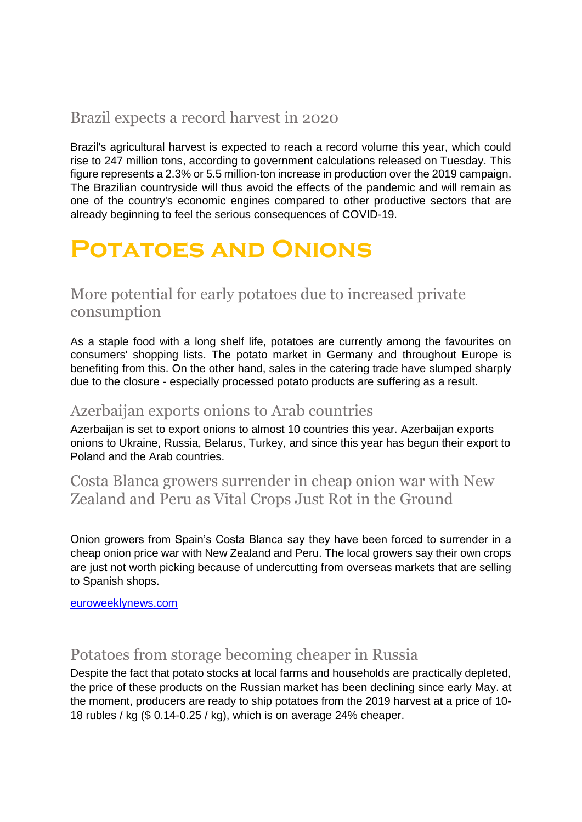# Brazil expects a record harvest in 2020

Brazil's agricultural harvest is expected to reach a record volume this year, which could rise to 247 million tons, according to government calculations released on Tuesday. This figure represents a 2.3% or 5.5 million-ton increase in production over the 2019 campaign. The Brazilian countryside will thus avoid the effects of the pandemic and will remain as one of the country's economic engines compared to other productive sectors that are already beginning to feel the serious consequences of COVID-19.

# **Potatoes and Onions**

# More potential for early potatoes due to increased private consumption

As a staple food with a long shelf life, potatoes are currently among the favourites on consumers' shopping lists. The potato market in Germany and throughout Europe is benefiting from this. On the other hand, sales in the catering trade have slumped sharply due to the closure - especially processed potato products are suffering as a result.

### Azerbaijan exports onions to Arab countries

Azerbaijan is set to export onions to almost 10 countries this year. Azerbaijan exports onions to Ukraine, Russia, Belarus, Turkey, and since this year has begun their export to Poland and the Arab countries.

### Costa Blanca growers surrender in cheap onion war with New Zealand and Peru as Vital Crops Just Rot in the Ground

Onion growers from Spain's Costa Blanca say they have been forced to surrender in a cheap onion price war with New Zealand and Peru. The local growers say their own crops are just not worth picking because of undercutting from overseas markets that are selling to Spanish shops.

[euroweeklynews.com](https://www.euroweeklynews.com/2020/05/14/spains-costa-blanca-farmers-forced-to-surrender-in-cheap-onion-war-with-new-zealand-and-peru-as-vital-crops-just-rot-in-the-ground/)

# Potatoes from storage becoming cheaper in Russia

Despite the fact that potato stocks at local farms and households are practically depleted, the price of these products on the Russian market has been declining since early May. at the moment, producers are ready to ship potatoes from the 2019 harvest at a price of 10- 18 rubles / kg (\$ 0.14-0.25 / kg), which is on average 24% cheaper.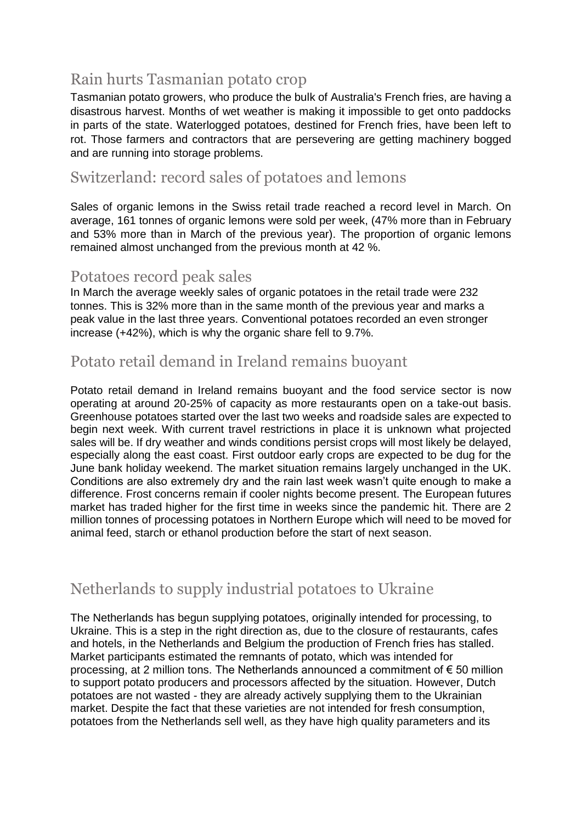# Rain hurts Tasmanian potato crop

Tasmanian potato growers, who produce the bulk of Australia's French fries, are having a disastrous harvest. Months of wet weather is making it impossible to get onto paddocks in parts of the state. Waterlogged potatoes, destined for French fries, have been left to rot. Those farmers and contractors that are persevering are getting machinery bogged and are running into storage problems.

### Switzerland: record sales of potatoes and lemons

Sales of organic lemons in the Swiss retail trade reached a record level in March. On average, 161 tonnes of organic lemons were sold per week, (47% more than in February and 53% more than in March of the previous year). The proportion of organic lemons remained almost unchanged from the previous month at 42 %.

### Potatoes record peak sales

In March the average weekly sales of organic potatoes in the retail trade were 232 tonnes. This is 32% more than in the same month of the previous year and marks a peak value in the last three years. Conventional potatoes recorded an even stronger increase (+42%), which is why the organic share fell to 9.7%.

# Potato retail demand in Ireland remains buoyant

Potato retail demand in Ireland remains buoyant and the food service sector is now operating at around 20-25% of capacity as more restaurants open on a take-out basis. Greenhouse potatoes started over the last two weeks and roadside sales are expected to begin next week. With current travel restrictions in place it is unknown what projected sales will be. If dry weather and winds conditions persist crops will most likely be delayed, especially along the east coast. First outdoor early crops are expected to be dug for the June bank holiday weekend. The market situation remains largely unchanged in the UK. Conditions are also extremely dry and the rain last week wasn't quite enough to make a difference. Frost concerns remain if cooler nights become present. The European futures market has traded higher for the first time in weeks since the pandemic hit. There are 2 million tonnes of processing potatoes in Northern Europe which will need to be moved for animal feed, starch or ethanol production before the start of next season.

# Netherlands to supply industrial potatoes to Ukraine

The Netherlands has begun supplying potatoes, originally intended for processing, to Ukraine. This is a step in the right direction as, due to the closure of restaurants, cafes and hotels, in the Netherlands and Belgium the production of French fries has stalled. Market participants estimated the remnants of potato, which was intended for processing, at 2 million tons. The Netherlands announced a commitment of € 50 million to support potato producers and processors affected by the situation. However, Dutch potatoes are not wasted - they are already actively supplying them to the Ukrainian market. Despite the fact that these varieties are not intended for fresh consumption, potatoes from the Netherlands sell well, as they have high quality parameters and its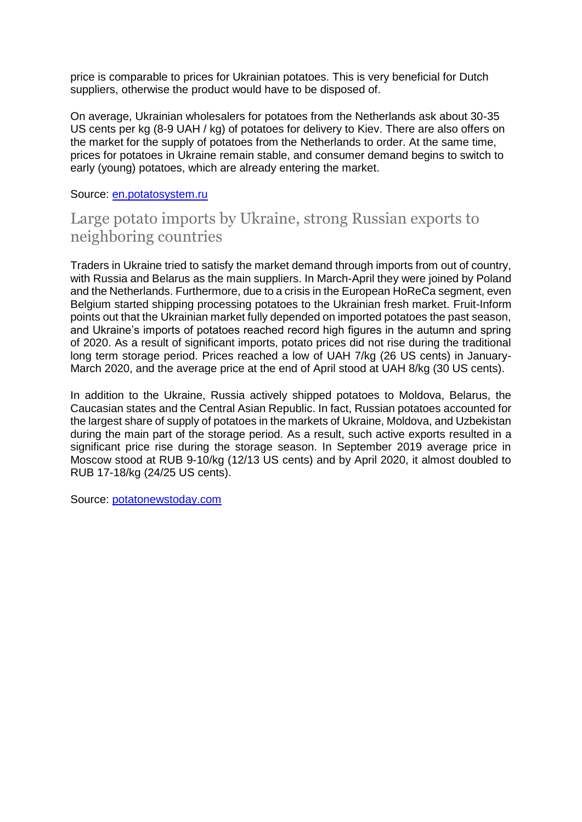price is comparable to prices for Ukrainian potatoes. This is very beneficial for Dutch suppliers, otherwise the product would have to be disposed of.

On average, Ukrainian wholesalers for potatoes from the Netherlands ask about 30-35 US cents per kg (8-9 UAH / kg) of potatoes for delivery to Kiev. There are also offers on the market for the supply of potatoes from the Netherlands to order. At the same time, prices for potatoes in Ukraine remain stable, and consumer demand begins to switch to early (young) potatoes, which are already entering the market.

#### Source: [en.potatosystem.ru](https://en.potatosystem.ru/niderlandy-postavlyayut-promyshlennyj/)

### Large potato imports by Ukraine, strong Russian exports to neighboring countries

Traders in Ukraine tried to satisfy the market demand through imports from out of country, with Russia and Belarus as the main suppliers. In March-April they were joined by Poland and the Netherlands. Furthermore, due to a crisis in the European HoReCa segment, even Belgium started shipping processing potatoes to the Ukrainian fresh market. Fruit-Inform points out that the Ukrainian market fully depended on imported potatoes the past season, and Ukraine's imports of potatoes reached record high figures in the autumn and spring of 2020. As a result of significant imports, potato prices did not rise during the traditional long term storage period. Prices reached a low of UAH 7/kg (26 US cents) in January-March 2020, and the average price at the end of April stood at UAH 8/kg (30 US cents).

In addition to the Ukraine, Russia actively shipped potatoes to Moldova, Belarus, the Caucasian states and the Central Asian Republic. In fact, Russian potatoes accounted for the largest share of supply of potatoes in the markets of Ukraine, Moldova, and Uzbekistan during the main part of the storage period. As a result, such active exports resulted in a significant price rise during the storage season. In September 2019 average price in Moscow stood at RUB 9-10/kg (12/13 US cents) and by April 2020, it almost doubled to RUB 17-18/kg (24/25 US cents).

Source: [potatonewstoday.com](https://www.potatonewstoday.com/2020/05/12/report-heavy-potato-imports-by-ukraine-strong-russian-exports-to-neighbouring-countries/)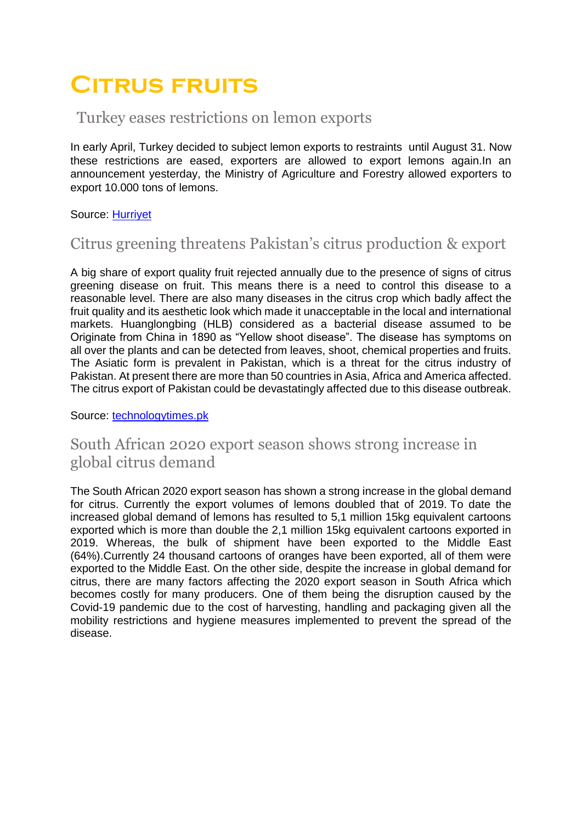# **Citrus fruits**

### Turkey eases restrictions on lemon exports

In early April, Turkey decided to subject lemon exports to restraints until August 31. Now these restrictions are eased, exporters are allowed to export lemons again.In an announcement yesterday, the Ministry of Agriculture and Forestry allowed exporters to export 10.000 tons of lemons.

#### Source: [Hurriyet](https://www.hurriyet.com.tr/ekonomi/limonda-10-bin-tonluk-dis-satim-izni-ihracatcilari-ve-ureticileri-sevindirdi-41518269)

# Citrus greening threatens Pakistan's citrus production & export

A big share of export quality fruit rejected annually due to the presence of signs of citrus greening disease on fruit. This means there is a need to control this disease to a reasonable level. There are also many diseases in the citrus crop which badly affect the fruit quality and its aesthetic look which made it unacceptable in the local and international markets. Huanglongbing (HLB) considered as a bacterial disease assumed to be Originate from China in 1890 as "Yellow shoot disease". The disease has symptoms on all over the plants and can be detected from leaves, shoot, chemical properties and fruits. The Asiatic form is prevalent in Pakistan, which is a threat for the citrus industry of Pakistan. At present there are more than 50 countries in Asia, Africa and America affected. The citrus export of Pakistan could be devastatingly affected due to this disease outbreak.

Source: [technologytimes.pk](https://www.technologytimes.pk/2020/05/12/citrus-greening-a-threat-to-citrus-production-and-export-in-pakistan/)

# South African 2020 export season shows strong increase in global citrus demand

The South African 2020 export season has shown a strong increase in the global demand for citrus. Currently the export volumes of lemons doubled that of 2019. To date the increased global demand of lemons has resulted to 5,1 million 15kg equivalent cartoons exported which is more than double the 2,1 million 15kg equivalent cartoons exported in 2019. Whereas, the bulk of shipment have been exported to the Middle East (64%).Currently 24 thousand cartoons of oranges have been exported, all of them were exported to the Middle East. On the other side, despite the increase in global demand for citrus, there are many factors affecting the 2020 export season in South Africa which becomes costly for many producers. One of them being the disruption caused by the Covid-19 pandemic due to the cost of harvesting, handling and packaging given all the mobility restrictions and hygiene measures implemented to prevent the spread of the disease.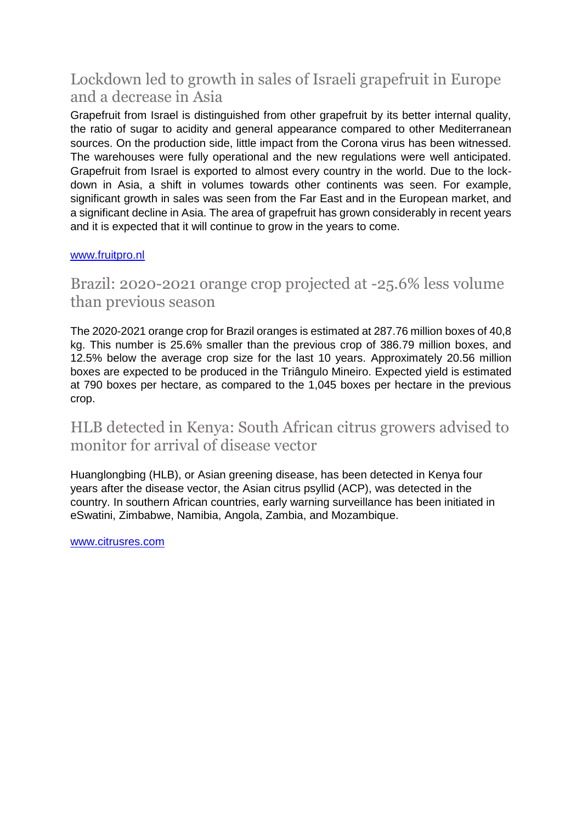# Lockdown led to growth in sales of Israeli grapefruit in Europe and a decrease in Asia

Grapefruit from Israel is distinguished from other grapefruit by its better internal quality, the ratio of sugar to acidity and general appearance compared to other Mediterranean sources. On the production side, little impact from the Corona virus has been witnessed. The warehouses were fully operational and the new regulations were well anticipated. Grapefruit from Israel is exported to almost every country in the world. Due to the lockdown in Asia, a shift in volumes towards other continents was seen. For example, significant growth in sales was seen from the Far East and in the European market, and a significant decline in Asia. The area of grapefruit has grown considerably in recent years and it is expected that it will continue to grow in the years to come.

#### [www.fruitpro.nl](http://www.fruitpro.nl/)

# Brazil: 2020-2021 orange crop projected at -25.6% less volume than previous season

The 2020-2021 orange crop for Brazil oranges is estimated at 287.76 million boxes of 40,8 kg. This number is 25.6% smaller than the previous crop of 386.79 million boxes, and 12.5% below the average crop size for the last 10 years. Approximately 20.56 million boxes are expected to be produced in the Triângulo Mineiro. Expected yield is estimated at 790 boxes per hectare, as compared to the 1,045 boxes per hectare in the previous crop.

# HLB detected in Kenya: South African citrus growers advised to monitor for arrival of disease vector

Huanglongbing (HLB), or Asian greening disease, has been detected in Kenya four years after the disease vector, the Asian citrus psyllid (ACP), was detected in the country. In southern African countries, early warning surveillance has been initiated in eSwatini, Zimbabwe, Namibia, Angola, Zambia, and Mozambique.

[www.citrusres.com](http://www.citrusres.com/)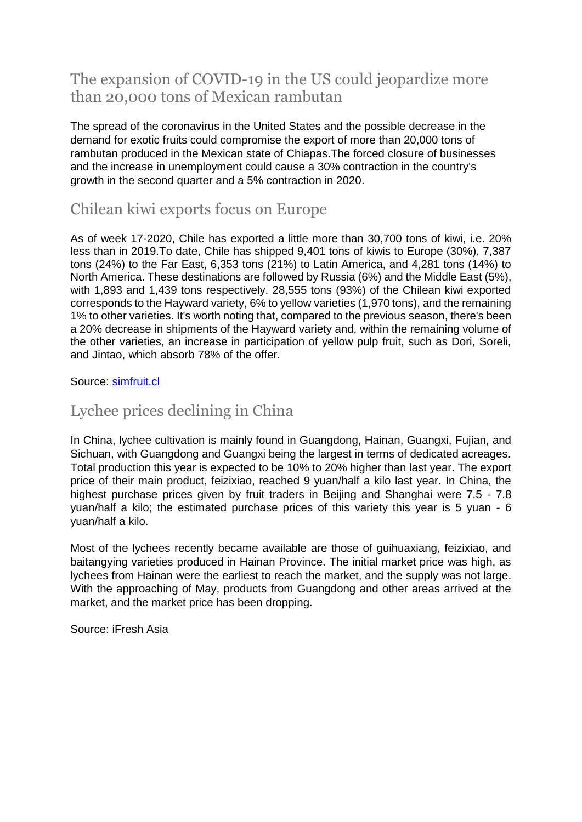# The expansion of COVID-19 in the US could jeopardize more than 20,000 tons of Mexican rambutan

The spread of the coronavirus in the United States and the possible decrease in the demand for exotic fruits could compromise the export of more than 20,000 tons of rambutan produced in the Mexican state of Chiapas.The forced closure of businesses and the increase in unemployment could cause a 30% contraction in the country's growth in the second quarter and a 5% contraction in 2020.

# Chilean kiwi exports focus on Europe

As of week 17-2020, Chile has exported a little more than 30,700 tons of kiwi, i.e. 20% less than in 2019.To date, Chile has shipped 9,401 tons of kiwis to Europe (30%), 7,387 tons (24%) to the Far East, 6,353 tons (21%) to Latin America, and 4,281 tons (14%) to North America. These destinations are followed by Russia (6%) and the Middle East (5%), with 1,893 and 1,439 tons respectively. 28,555 tons (93%) of the Chilean kiwi exported corresponds to the Hayward variety, 6% to yellow varieties (1,970 tons), and the remaining 1% to other varieties. It's worth noting that, compared to the previous season, there's been a 20% decrease in shipments of the Hayward variety and, within the remaining volume of the other varieties, an increase in participation of yellow pulp fruit, such as Dori, Soreli, and Jintao, which absorb 78% of the offer.

#### Source: [simfruit.cl](https://www.simfruit.cl/avance-temporada-del-kiwi-chileno-cosechas-casi-llegan-a-su-fin-mientras-exportaciones-se-focalizan-en-europa/)

### Lychee prices declining in China

In China, lychee cultivation is mainly found in Guangdong, Hainan, Guangxi, Fujian, and Sichuan, with Guangdong and Guangxi being the largest in terms of dedicated acreages. Total production this year is expected to be 10% to 20% higher than last year. The export price of their main product, feizixiao, reached 9 yuan/half a kilo last year. In China, the highest purchase prices given by fruit traders in Beijing and Shanghai were 7.5 - 7.8 yuan/half a kilo; the estimated purchase prices of this variety this year is 5 yuan - 6 yuan/half a kilo.

Most of the lychees recently became available are those of guihuaxiang, feizixiao, and baitangying varieties produced in Hainan Province. The initial market price was high, as lychees from Hainan were the earliest to reach the market, and the supply was not large. With the approaching of May, products from Guangdong and other areas arrived at the market, and the market price has been dropping.

Source: iFresh Asia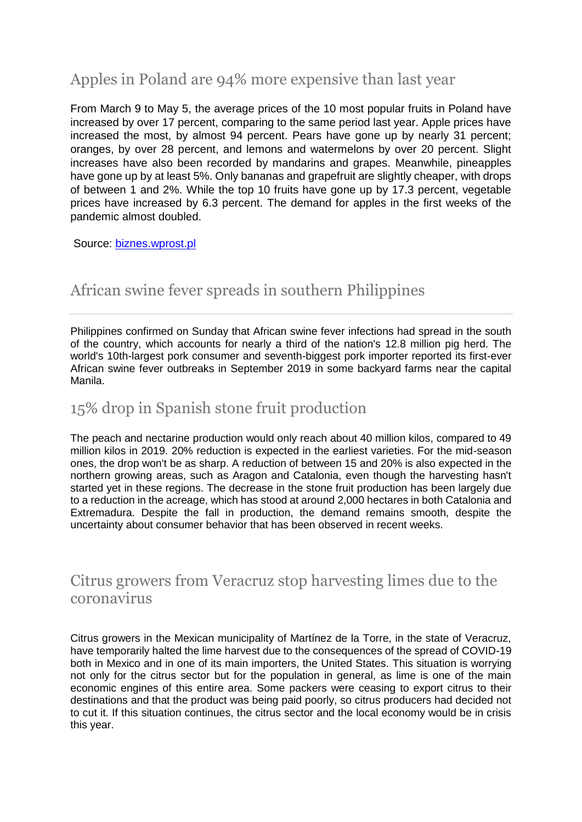# Apples in Poland are 94% more expensive than last year

From March 9 to May 5, the average prices of the 10 most popular fruits in Poland have increased by over 17 percent, comparing to the same period last year. Apple prices have increased the most, by almost 94 percent. Pears have gone up by nearly 31 percent; oranges, by over 28 percent, and lemons and watermelons by over 20 percent. Slight increases have also been recorded by mandarins and grapes. Meanwhile, pineapples have gone up by at least 5%. Only bananas and grapefruit are slightly cheaper, with drops of between 1 and 2%. While the top 10 fruits have gone up by 17.3 percent, vegetable prices have increased by 6.3 percent. The demand for apples in the first weeks of the pandemic almost doubled.

Source: [biznes.wprost.pl](https://biznes.wprost.pl/gospodarka/10324181/jablka-drozsze-o-94-proc-pandemia-i-susza-odbijaja-sie-na-cenach-owocow.html)

# African swine fever spreads in southern Philippines

Philippines confirmed on Sunday that African swine fever infections had spread in the south of the country, which accounts for nearly a third of the nation's 12.8 million pig herd. The world's 10th-largest pork consumer and seventh-biggest pork importer reported its first-ever African swine fever outbreaks in September 2019 in some backyard farms near the capital Manila.

### 15% drop in Spanish stone fruit production

The peach and nectarine production would only reach about 40 million kilos, compared to 49 million kilos in 2019. 20% reduction is expected in the earliest varieties. For the mid-season ones, the drop won't be as sharp. A reduction of between 15 and 20% is also expected in the northern growing areas, such as Aragon and Catalonia, even though the harvesting hasn't started yet in these regions. The decrease in the stone fruit production has been largely due to a reduction in the acreage, which has stood at around 2,000 hectares in both Catalonia and Extremadura. Despite the fall in production, the demand remains smooth, despite the uncertainty about consumer behavior that has been observed in recent weeks.

### Citrus growers from Veracruz stop harvesting limes due to the coronavirus

Citrus growers in the Mexican municipality of Martínez de la Torre, in the state of Veracruz, have temporarily halted the lime harvest due to the consequences of the spread of COVID-19 both in Mexico and in one of its main importers, the United States. This situation is worrying not only for the citrus sector but for the population in general, as lime is one of the main economic engines of this entire area. Some packers were ceasing to export citrus to their destinations and that the product was being paid poorly, so citrus producers had decided not to cut it. If this situation continues, the citrus sector and the local economy would be in crisis this year.